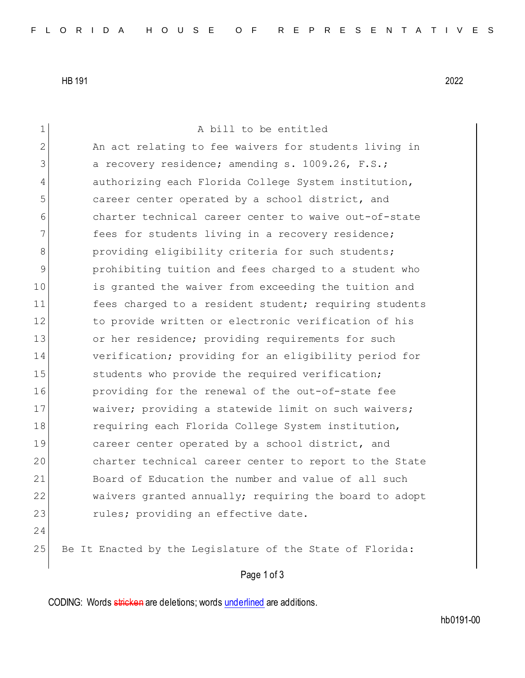HB 191 2022

1 A bill to be entitled 2 An act relating to fee waivers for students living in 3 a recovery residence; amending s. 1009.26, F.S.; 4 authorizing each Florida College System institution, 5 **career center operated by a school district, and** 6 charter technical career center to waive out-of-state 7 **fees for students living in a recovery residence;** 8 **providing eligibility criteria for such students;** 9 prohibiting tuition and fees charged to a student who 10 is granted the waiver from exceeding the tuition and 11 fees charged to a resident student; requiring students 12 to provide written or electronic verification of his 13 or her residence; providing requirements for such 14 verification; providing for an eligibility period for 15 Students who provide the required verification; 16 providing for the renewal of the out-of-state fee 17 Waiver; providing a statewide limit on such waivers; 18 requiring each Florida College System institution, 19 career center operated by a school district, and 20 charter technical career center to report to the State 21 Board of Education the number and value of all such 22 waivers granted annually; requiring the board to adopt 23 rules; providing an effective date. 24 25 Be It Enacted by the Legislature of the State of Florida:

Page 1 of 3

CODING: Words stricken are deletions; words underlined are additions.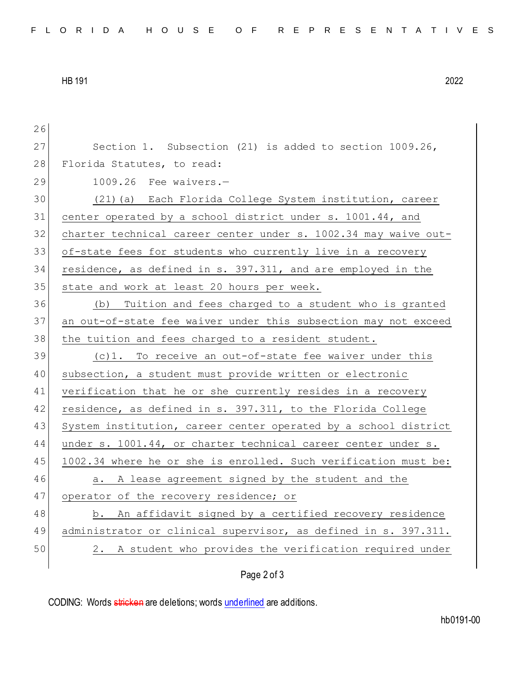HB 191 2022

26 27 Section 1. Subsection (21) is added to section 1009.26, 28 Florida Statutes, to read: 29 1009.26 Fee waivers.— 30 (21)(a) Each Florida College System institution, career 31 center operated by a school district under s. 1001.44, and 32 charter technical career center under s. 1002.34 may waive out-33 of-state fees for students who currently live in a recovery 34 residence, as defined in s. 397.311, and are employed in the 35 state and work at least 20 hours per week. 36 (b) Tuition and fees charged to a student who is granted 37 an out-of-state fee waiver under this subsection may not exceed 38 the tuition and fees charged to a resident student. 39 (c)1. To receive an out-of-state fee waiver under this 40 subsection, a student must provide written or electronic 41 verification that he or she currently resides in a recovery 42 residence, as defined in s. 397.311, to the Florida College 43 System institution, career center operated by a school district 44 under s. 1001.44, or charter technical career center under s. 45 1002.34 where he or she is enrolled. Such verification must be: 46 a. A lease agreement signed by the student and the 47 operator of the recovery residence; or 48 b. An affidavit signed by a certified recovery residence 49 administrator or clinical supervisor, as defined in s. 397.311. 50 2. A student who provides the verification required under

## Page 2 of 3

CODING: Words stricken are deletions; words underlined are additions.